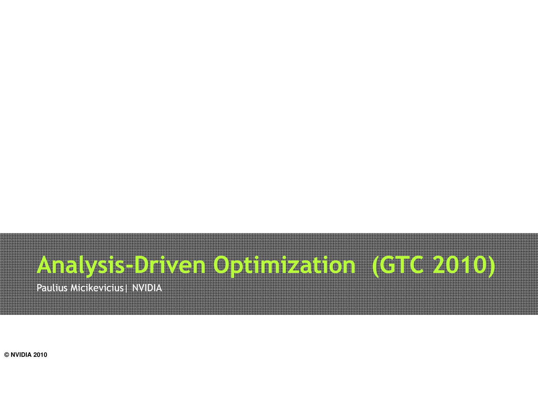# Analysis-Driven Optimization (GTC 2010)

Paulius Micikevicius <mark>| NVIDIA</mark>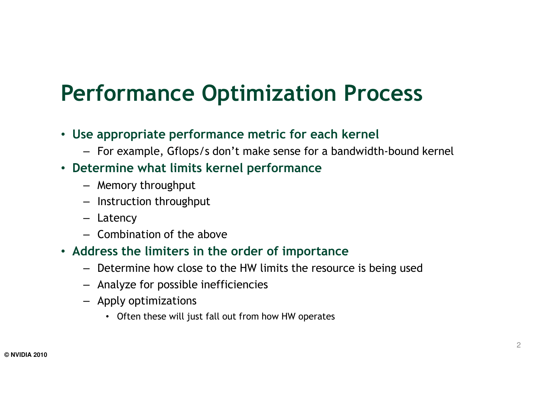## Performance Optimization Process

- Use appropriate performance metric for each kernel
	- For example, Gflops/s don't make sense for a bandwidth-bound kernel
- Determine what limits kernel performance
	- Memory throughput
	- Instruction throughput
	- Latency
	- Combination of the above
- Address the limiters in the order of importance
	- Determine how close to the HW limits the resource is being used
	- Analyze for possible inefficiencies
	- Apply optimizations
		- Often these will just fall out from how HW operates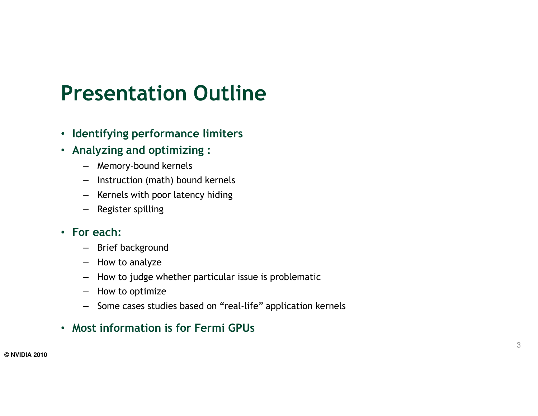#### Presentation Outline

- Identifying performance limiters
- Analyzing and optimizing :
	- Memory-bound kernels
	- Instruction (math) bound kernels
	- Kernels with poor latency hiding
	- Register spilling

#### • For each:

- Brief background
- How to analyze
- How to judge whether particular issue is problemati c
- How to optimize
- Some cases studies based on "real-life" application kernels

#### • Most information is for Fermi GPUs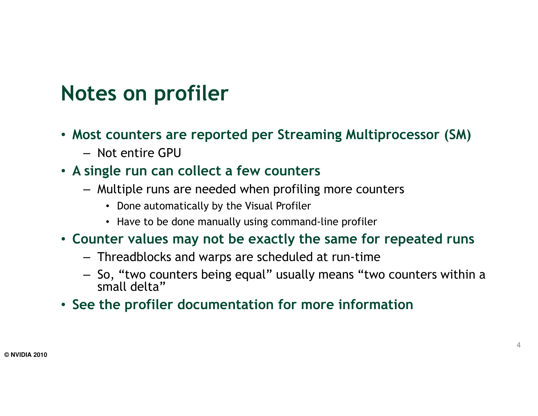### Notes on profiler

- Most counters are reported per Streaming Multiprocessor (SM)
	- Not entire GPU
- A single run can collect a few counters
	- Multiple runs are needed when profiling more counters
		- Done automatically by the Visual Profiler
		- Have to be done manually using command-line profiler
- Counter values may not be exactly the same for repeated runs
	- Threadblocks and warps are scheduled at run-time
	- So, "two counters being equal" usually means "two counters within a small delta"
- See the profiler documentation for more information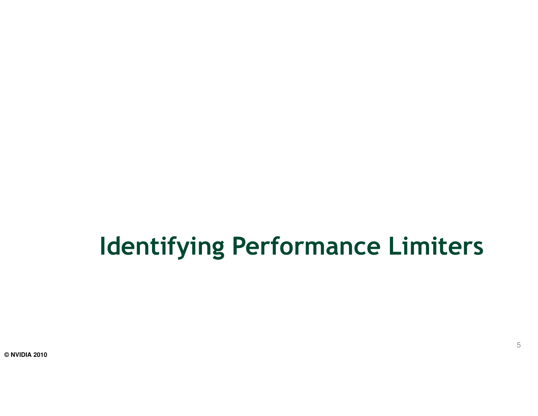# Identifying Performance Limiters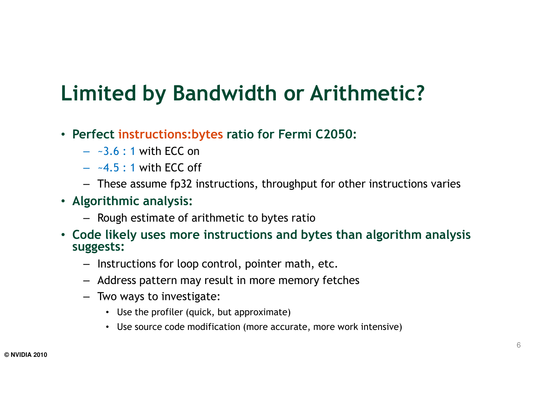### Limited by Bandwidth or Arithmetic?

- Perfect instructions:bytes ratio for Fermi C2050:
	- $\sim$ 3.6 : 1 with ECC on
	- $-4.5$  : 1 with ECC off
	- These assume fp32 instructions, throughput for other instructions varies
- Algorithmic analysis:
	- Rough estimate of arithmetic to bytes ratio
- Code likely uses more instructions and bytes than algorithm analysis suggests:
	- Instructions for loop control, pointer math, etc.
	- Address pattern may result in more memory fetches
	- Two ways to investigate:
		- Use the profiler (quick, but approximate)
		- Use source code modification (more accurate, more work intensive)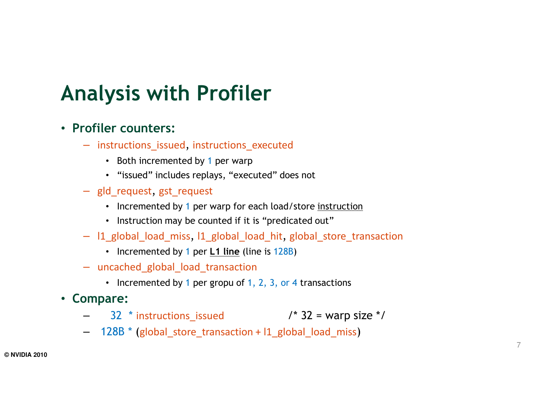### Analysis with Profiler

#### • Profiler counters:

- instructions\_issued, instructions\_executed
	- Both incremented by 1 per warp
	- "issued" includes replays, "executed" does not
- gld\_request, gst\_request
	- Incremented by 1 per warp for each load/store <u>instruction</u>
	- Instruction may be counted if it is "predicated out"
- l1\_global\_load\_miss, l1\_global\_load\_hit, global\_store\_transaction
	- Incremented by 1 per <u>L1 line</u> (line is 128B)
- uncached\_global\_load\_transaction
	- Incremented by 1 per gropu of 1, 2, 3, or 4 transactions
- Compare:
	- $32$  \* instructions\_issued  $4 \times 32 = \text{warp size}$  \*/
	- 128B \* (global\_store\_transaction + l1\_global\_load\_miss)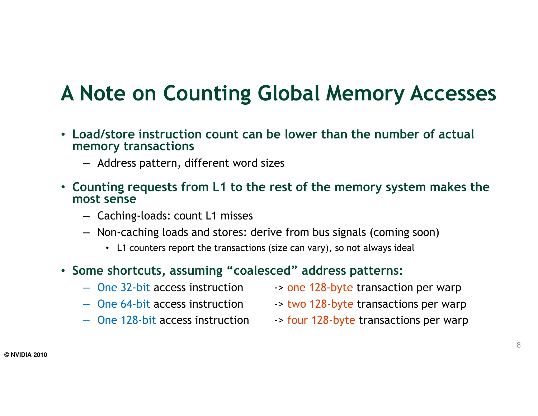#### A Note on Counting Global Memory Accesses

- Load/store instruction count can be lower than the number of actual memory transactions
	- Address pattern, different word sizes
- Counting requests from L1 to the rest of the memory system makes the most sense
	- Caching-loads: count L1 misses
	- Non-caching loads and stores: derive from bus signals (coming soon)
		- L1 counters report the transactions (size can vary), so not always ideal
- Some shortcuts, assuming "coalesced" address patterns:
	- One 32-bit access instruction
	- One 64-bit access instruction
	- One 128-bit access instruction
- $\rightarrow$  one 128-byte transaction per warp
- -> two 128-byte transactions per warp
- -> four 128-byte transactions per warp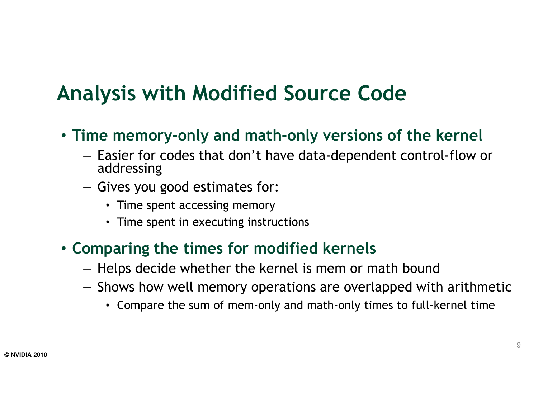### Analysis with Modified Source Code

- Time memory-only and math-only versions of the kernel
	- Easier for codes that don't have data-dependent control-flow or<br>addressing addressing
	- $-$  Gives you good estimates for:
		- Time spent accessing memory
		- Time spent in executing instructions

#### • Comparing the times for modified kernels

- $-$  Helps decide whether the kernel is mem or math bound
- $-$  Shows how well memory operations are overlapped with arithmetic
	- Compare the sum of mem-only and math-only times to full-kernel time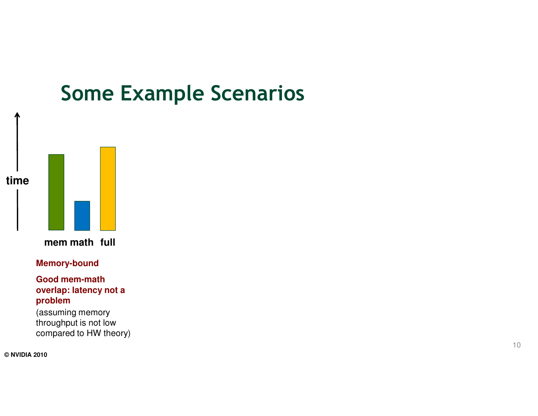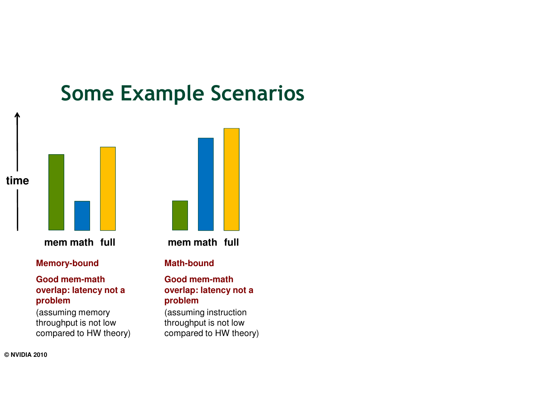

#### **overlap: latency not a problem**

 (assuming memory throughput is not low compared to HW theory)

#### **overlap: latency not a problem**

 (assuming instruction throughput is not low compared to HW theory)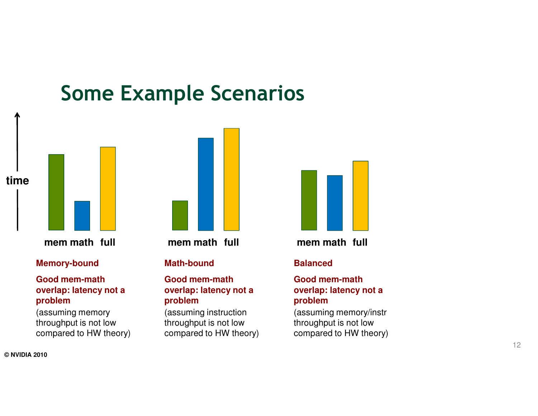

#### **Good mem-math overlap: latency not a problem**

 (assuming memory throughput is not low compared to HW theory)



**Math-bound**

#### **Good mem-math overlap: latency not a problem**

 (assuming instruction throughput is not low compared to HW theory)



**math full mem math full**

#### **Balanced**

#### **Good mem-math overlap: latency not a problem**

 (assuming memory/instrthroughput is not low compared to HW theory)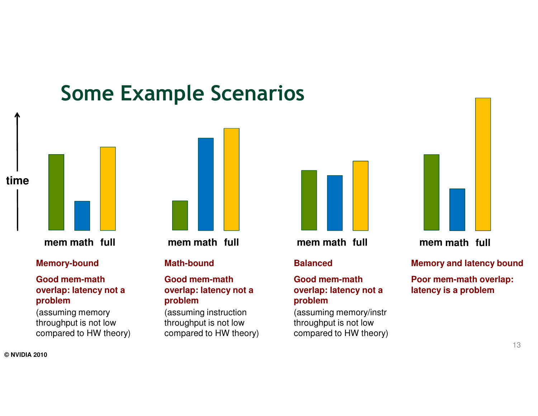

#### **Good mem-math overlap: latency not a problem**

 (assuming memory throughput is not low compared to HW theory)



#### **Math-bound**

#### **Good mem-math overlap: latency not a problem**

 (assuming instruction throughput is not low compared to HW theory)



**math full mem math full mem**

#### **Balanced**

#### **Good mem-math overlap: latency not a problem**

 (assuming memory/instrthroughput is not low compared to HW theory)



**math full**

**Memory and latency bound**

**Poor mem-math overlap: latency is a problem**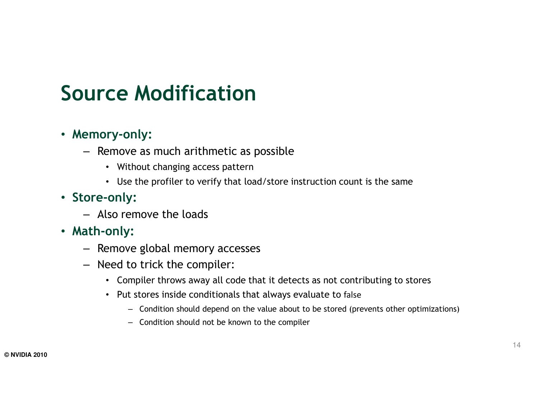### Source Modification

#### • Memory-only:

- Remove as much arithmetic as possible
	- Without changing access pattern
	- Use the profiler to verify that load/store instruction count is the same
- Store-only:
	- Also remove the loads
- -
	-
- Also Ferriove trie toads<br>
**Math-only:**<br>
Remove global memory accesses<br>
Need to trick the compiler:<br>
Compiler throws away all code that it detects as not contributing to stores<br>
Put stores inside conditionals t
	- -
		-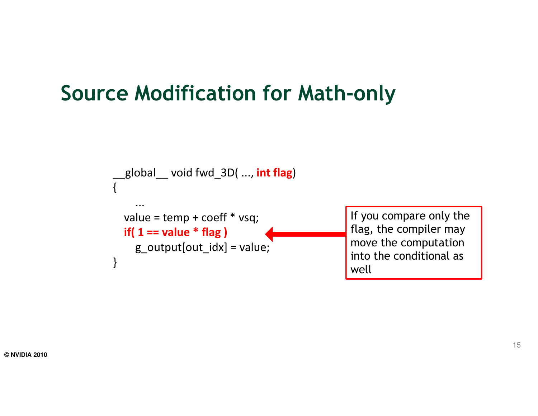#### Source Modification for Math-only

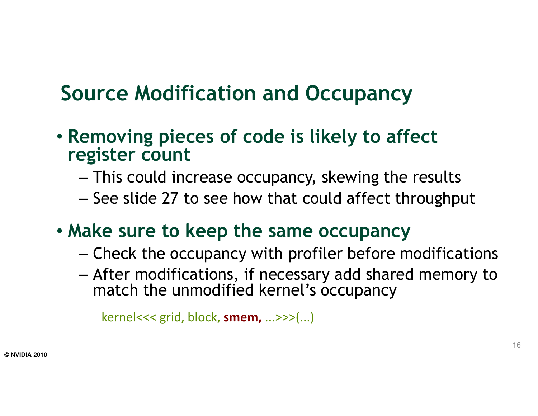### Source Modification and Occupancy

- Removing pieces of code is likely to affect register count
	- This could increase occupancy, skewing the results
	- – $-$  See slide 27 to see how that could affect throughput
- Make sure to keep the same occupancy
	- – $-$  Check the occupancy with profiler before modifications
	- After modifications, if necessary add shared memory to motor that up model is also assumed to motor that the match the unmodified kernel's occupancy

```
kernel<<< grid, block, smem, ...>>>(...)
```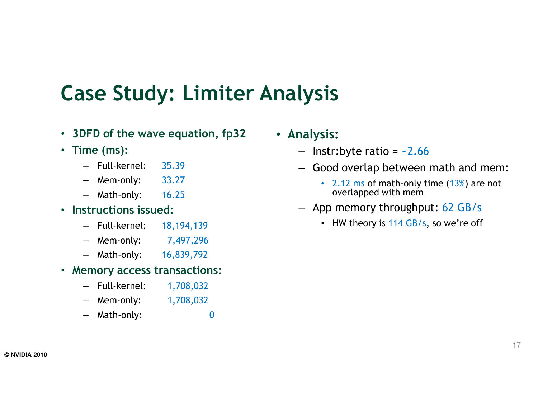#### Case Study: Limiter Analysis

- 3DFD of the wave equation, fp32
- Time (ms):
	- Full-kernel: 35.39
	- Mem-only: 33.27
	- Math-only: 16.25
- Instructions issued:
	- Full-kernel: 18,194,139
	- Mem-only: 7,497,296
	- Math-only: 16,839,792
- Memory access transactions:
	- Full-kernel: 1,708,032
	- Mem-only: 1,708,032
	- Math-only: 0
- Analysis:
	- $-$  Instr:byte ratio =  $-2.66$
	- Good overlap between math and mem:
		- 2.12 ms of math-only time (13%) are not overlapped with mem
	- App memory throughput: 62 GB/s
		- HW theory is 114 GB/s, so we're off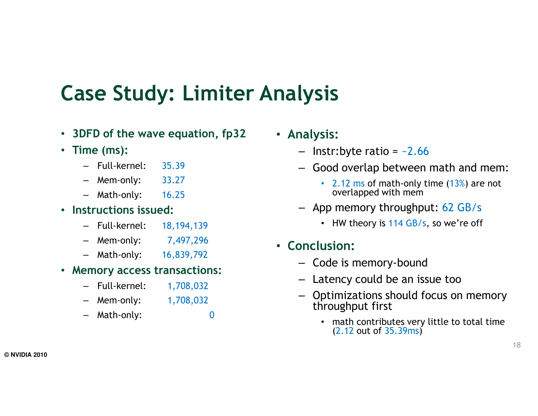### Case Study: Limiter Analysis

0

- 3DFD of the wave equation, fp32
- Time (ms):
	- Full-kernel: 35.39
	- Mem-only: 33.27
	- Math-only: 16.25
- Instructions issued:
	- Full-kernel: 18,194,139
	- Mem-only: 7,497,296
	- Math-only: 16,839,792
- Memory access transactions:
	- Full-kernel: 1,708,032
	- Mem-only: 1,708,032
	- Math-only:
- Analysis:
	- $-$  Instr:byte ratio =  $-2.66$
	- Good overlap between math and mem:
		- 2.12 ms of math-only time (13%) are not overlapped with mem
	- App memory throughput: 62 GB/s
		- HW theory is 114 GB/s, so we're off
- Conclusion:
	- Code is memory-bound
	- Latency could be an issue too
	- – Optimizations should focus on memory throughput first
		- math contributes very little to total time (2.12 out of 35.39ms)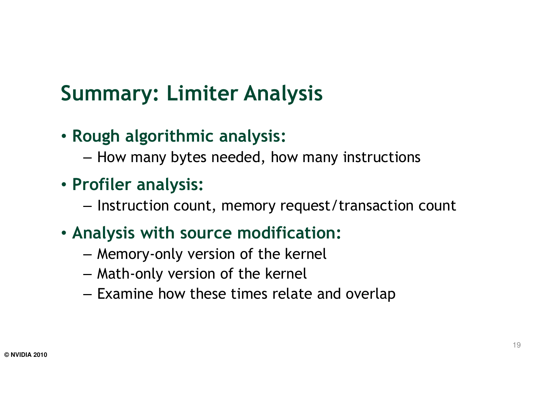## Summary: Limiter Analysis

- Rough algorithmic analysis:
	- $-$  How many bytes needed, how many instructions
- Profiler analysis:
	- $-$  Instruction count, memory request/transaction count
- Analysis with source modification:
	- $-$  Memory-only version of the kernel
	- $-$  Math-only version of the kernel
	- $-$  Examine how these times relate and overlap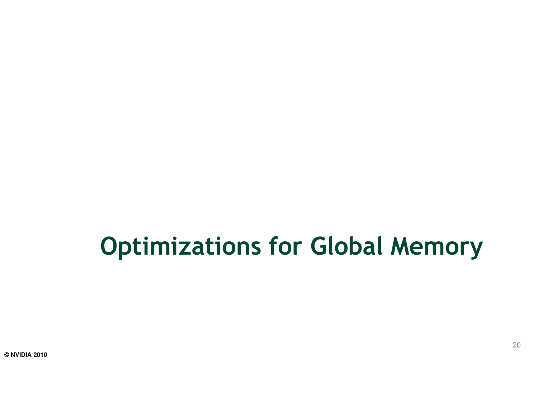## Optimizations for Global Memory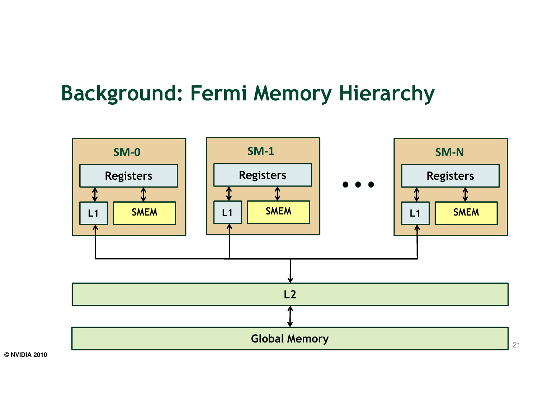#### Background: Fermi Memory Hierarchy

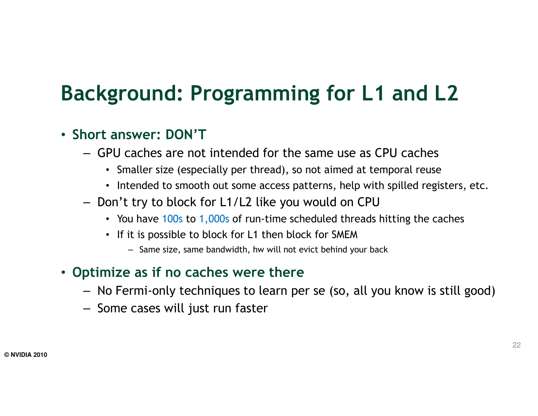### Background: Programming for L1 and L2

#### • Short answer: DON'T

- GPU caches are not intended for the same use as CPU caches
	- Smaller size (especially per thread), so not aimed at temporal reuse
	- Intended to smooth out some access patterns, help with spilled registers, etc.
- Don't try to block for L1/L2 like you would on CPU
	- You have 100s to 1,000s of run-time scheduled threads hitting the caches
	- If it is possible to block for L1 then block for SMEM
		- Same size, same bandwidth, hw will not evict behind your back

#### • Optimize as if no caches were there

- No Fermi-only techniques to learn per se (so, all you know is still good)
- Some cases will just run faster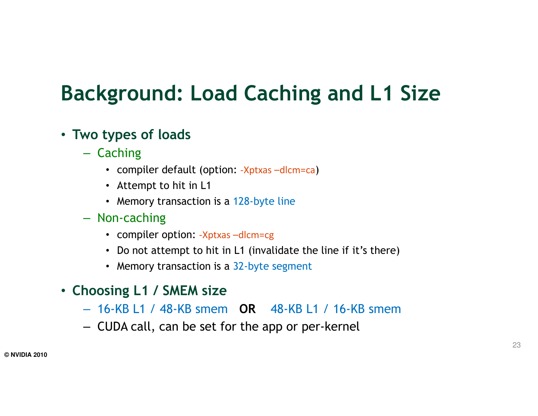### Background: Load Caching and L1 Size

#### • Two types of loads

- Caching
	- compiler default (option: -Xptxas –dlcm=ca)
	- Attempt to hit in L1
	- Memory transaction is a 128-byte line
- Non-caching
	- compiler option: -Xptxas –dlcm=cg
	- Do not attempt to hit in L1 (invalidate the line if it's there)
	- Memory transaction is a 32-byte segment
- Choosing L1 / SMEM size
	- 16-KB L1 / 48-KB smem OR 48-KB L1 / 16-KB smem
	- CUDA call, can be set for the app or per-kernel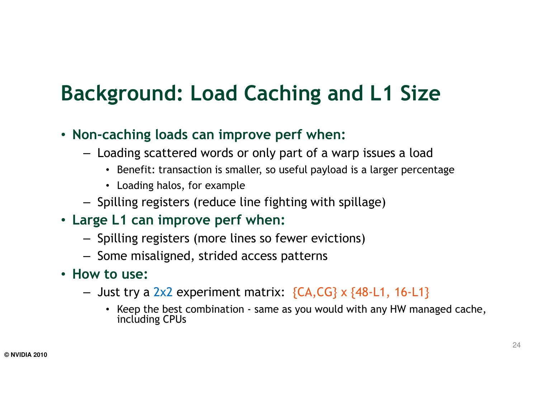## Background: Load Caching and L1 Size

- Non-caching loads can improve perf when:
	- Loading scattered words or only part of a warp issues a load
		- Benefit: transaction is smaller, so useful payload is a larger percentage
		- Loading halos, for example
	- Spilling registers (reduce line fighting with spillage)
- Large L1 can improve perf when:
	- Spilling registers (more lines so fewer evictions)
	- Some misaligned, strided access patterns
- How to use:
	- $-$  Just try a 2x2 experiment matrix:  $\{CA, CG\}$  x  $\{48$ -L1, 16-L1 $\}$ 
		- Keep the best combination same as you would with any HW managed cache, including CPUs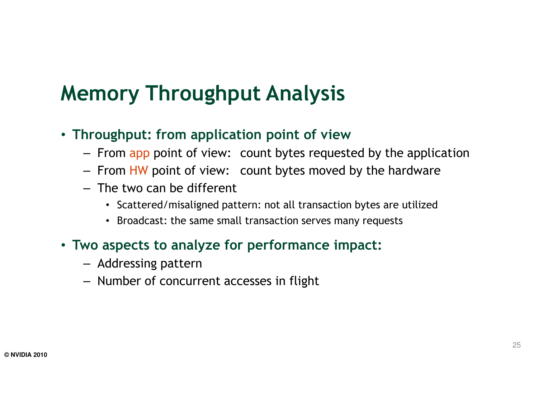### Memory Throughput Analysis

- Throughput: from application point of view
	- From app point of view: count bytes requested by the application
	- From HW point of view: count bytes moved by the hardware
	- The two can be different
		- Scattered/misaligned pattern: not all transaction bytes are utilized
		- Broadcast: the same small transaction serves many requests
- Two aspects to analyze for performance impact:
	- Addressing pattern
	- Number of concurrent accesses in flight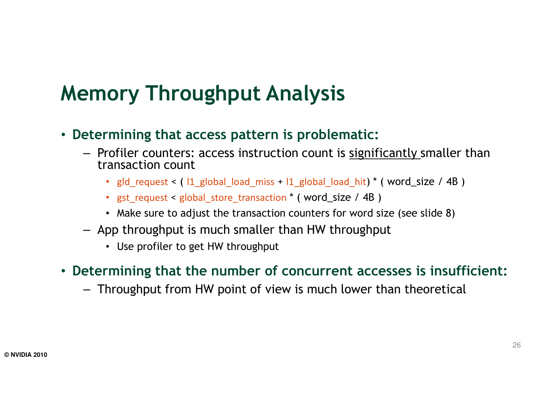### Memory Throughput Analysis

- Determining that access pattern is problematic:
	- Profiler counters: access instruction count is <u>significantly</u> smaller than transaction count
		- gld\_request < ( l1\_global\_load\_miss <sup>+</sup>l1\_global\_load\_hit) \* ( word\_size / 4B )
		- gst\_request < global\_store\_transaction \* ( word\_size / 4B )
		- Make sure to adjust the transaction counters for word size (see slide 8)
	- App throughput is much smaller than HW throughput
		- Use profiler to get HW throughput
- Determining that the number of concurrent accesses is insufficient:
	- Throughput from HW point of view is much lower than theoretical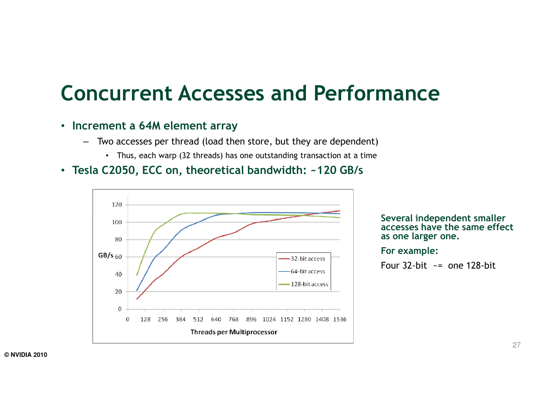#### Concurrent Accesses and Performance

#### • Increment a 64M element array

- Two accesses per thread (load then store, but they are dependent)
	- Thus, each warp (32 threads) has one outstanding transaction at a time
- Tesla C2050, ECC on, theoretical bandwidth: ~120 GB/s



Several independent smaller accesses have the same effect as one larger one.

For example:

Four  $32$ -bit  $\leq$  one 128-bit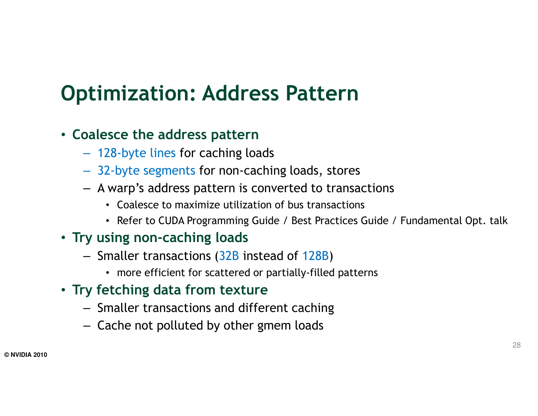### Optimization: Address Pattern

#### • Coalesce the address pattern

- 128-byte lines for caching loads
- 32-byte segments for non-caching loads, stores
- A warp's address pattern is converted to transactions
	- Coalesce to maximize utilization of bus transactions
	- Refer to CUDA Programming Guide / Best Practices Guide / Fundamental Opt. talk

#### • Try using non-caching loads

- Smaller transactions (32B instead of 128B)
	- more efficient for scattered or partially-filled patterns
- Try fetching data from texture
	- Smaller transactions and different caching
	- Cache not polluted by other gmem loads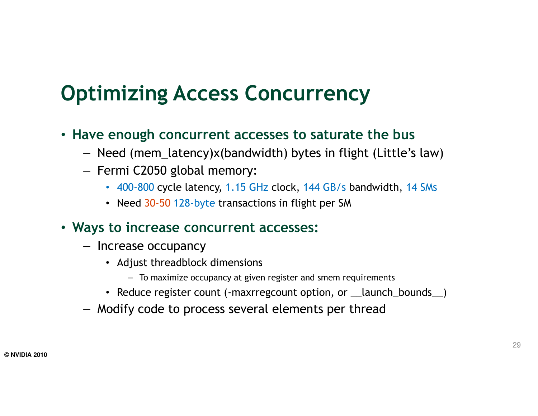### Optimizing Access Concurrency

- Have enough concurrent accesses to saturate the bus
	- Need (mem\_latency)x(bandwidth) bytes in flight (Little's law)
	- Fermi C2050 global memory:
		- 400-800 cycle latency, 1.15 GHz clock, 144 GB/s bandwidth, 14 SMs
		- Need 30-50 128-byte transactions in flight per SM
- Ways to increase concurrent accesses:
	- Increase occupancy
		- Adjust threadblock dimensions
			- To maximize occupancy at given register and smem requirements
		- Reduce register count (-maxrregcount option, or \_\_launch\_bounds\_\_)
	- Modify code to process several elements per thread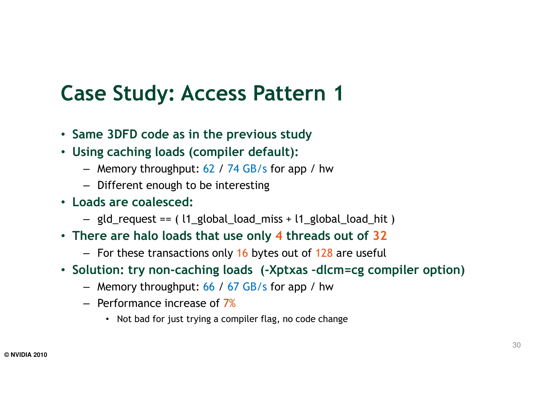#### Case Study: Access Pattern 1

- Same 3DFD code as in the previous study
- Using caching loads (compiler default):
	- Memory throughput: 62 / 74 GB/s for app / hw
	- Different enough to be interesting
- Loads are coalesced:
	- gld\_request == ( l1\_global\_load\_miss + l1\_global\_load\_hit )
- There are halo loads that use only 4 threads out of 32
	- For these transactions only 16 bytes out of 128 are useful
- Solution: try non-caching loads (-Xptxas –dlcm=cg compiler option)
	- Memory throughput: 66 / 67 GB/s for app / hw
	- $-$  Performance increase of  $7\%$ 
		- Not bad for just trying a compiler flag, no code change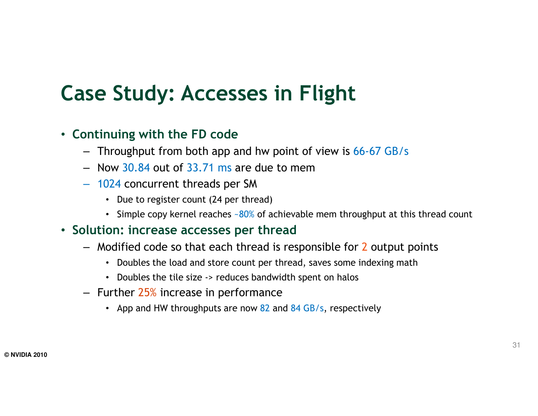### Case Study: Accesses in Flight

#### • Continuing with the FD code

- Throughput from both app and hw point of view is 66-67 GB/s
- $-$  Now 30.84 out of 33.71 ms are due to mem
- <sup>1024</sup> concurrent threads per SM
	- Due to register count (24 per thread)
	- Simple copy kernel reaches  $\sim\!\!80\!\%$  of achievable mem throughput at this thread count

#### • Solution: increase accesses per thread

- Modified code so that each thread is responsible for 2 output points
	- Doubles the load and store count per thread, saves some indexing math
	- Doubles the tile size -> reduces bandwidth spent on halos
- Further 25% increase in performance
	- App and HW throughputs are now 82 and 84 GB/s, respectively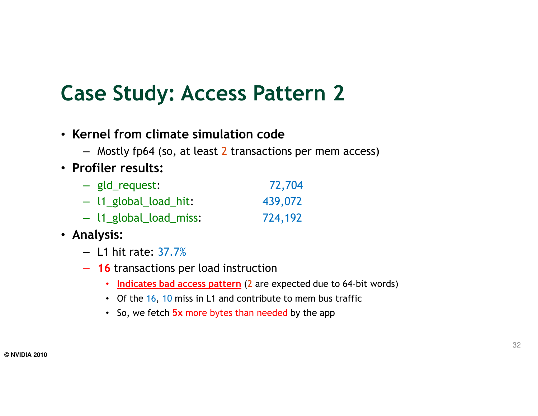### Case Study: Access Pattern 2

- Kernel from climate simulation code
	- Mostly fp64 (so, at least 2 transactions per mem access)
- Profiler results:
	- gld\_request: 72,704 – l1\_global\_load\_hit: 439,072
	- l1\_global\_load\_miss: 724,192
- Analysis:
	- $-$  L1 hit rate: 37.7%
	- 16 transactions per load instruction
		- Indicates bad access pattern (2 are expected due to 64-bit words)
		- Of the 16, 10 miss in L1 and contribute to mem bus traffic
		- So, we fetch <mark>5x more bytes than needed</mark> by the app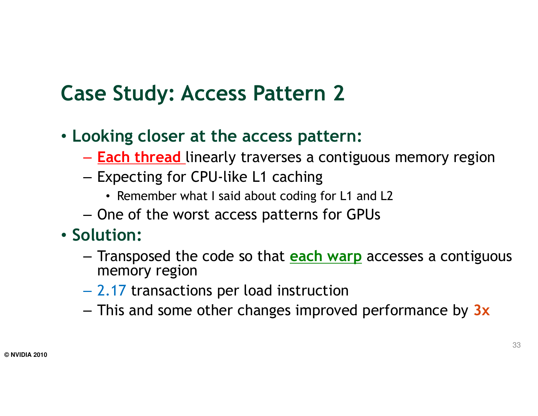### Case Study: Access Pattern 2

- Looking closer at the access pattern:
	- <mark>Each thread</mark> linearly traverses a contiguous memory region
	- Expecting for CPU-like L1 caching
		- Remember what I said about coding for L1 and L2
	- $-$  One of the worst access patterns for GPUs
- Solution:
	- Transposed the code so that **each warp** accesses a contiguous<br>mamory region memory region
	- 2.17 transactions per load instruction
	- $-$  This and some other changes improved performance by  $3x$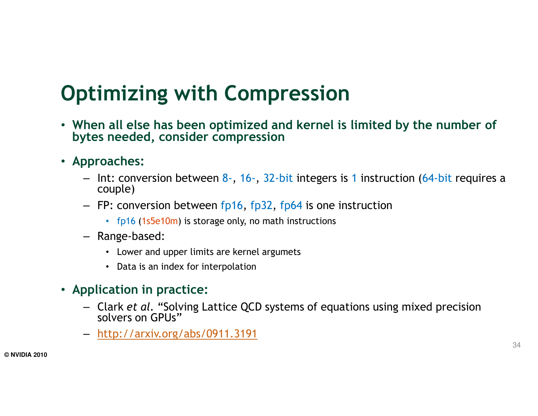### Optimizing with Compression

- When all else has been optimized and kernel is limited by the number of bytes needed, consider compression
- Approaches:
	- Int: conversion between 8-, 16-, 32-bit integers is 1 instruction (64-bit requires a senile) couple)
	- FP: conversion between fp16, fp32, fp64 is one instruction
		- fp16 (1s5e10m) is storage only, no math instructions
	- Range-based:
		- Lower and upper limits are kernel argumets
		- Data is an index for interpolation
- Application in practice:
	- Clark et al. "Solving Lattice QCD systems of equations using mixed precision<br>solvers an CPUs" solvers on GPUs"
	- http://arxiv.org/abs/0911.3191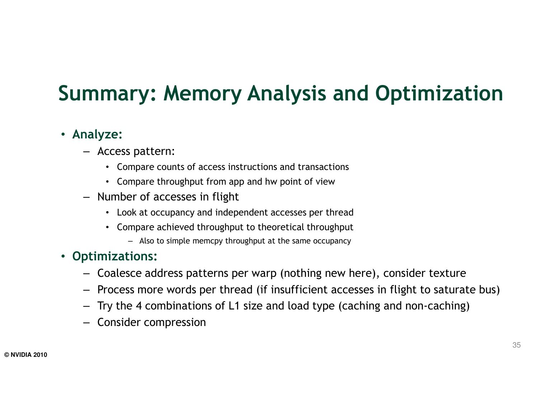### Summary: Memory Analysis and Optimization

#### • Analyze:

- Access pattern:
	- Compare counts of access instructions and transactions
	- Compare throughput from app and hw point of view
- Number of accesses in flight
	- Look at occupancy and independent accesses per thread
	- Compare achieved throughput to theoretical throughput
		- Also to simple memcpy throughput at the same occupancy

#### • Optimizations:

- Coalesce address patterns per warp (nothing new here), consider texture
- Process more words per thread (if insufficient accesses in flight to saturate bus)
- Try the 4 combinations of L1 size and load type (caching and non-caching)
- Consider compression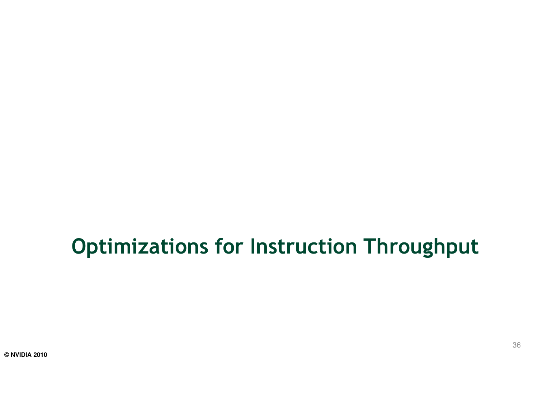#### Optimizations for Instruction Throughput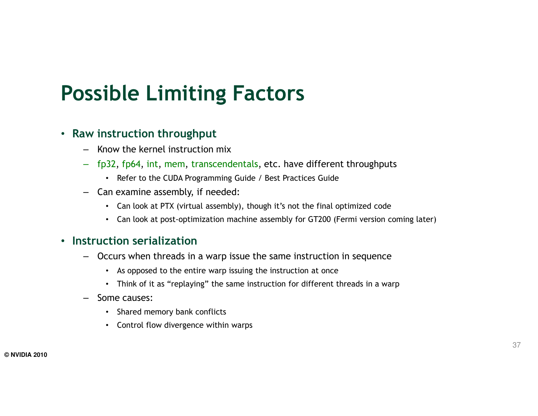### Possible Limiting Factors

#### • Raw instruction throughput

- Know the kernel instruction mix
- fp32, fp64, int, mem, transcendentals, etc. have different throughputs
	- Refer to the CUDA Programming Guide / Best Practices Guide
- Can examine assembly, if needed:
	- Can look at PTX (virtual assembly), though it's not the final optimized code
	- Can look at post-optimization machine assembly for GT200 (Fermi version coming later)

#### • Instruction serialization

- – Occurs when threads in a warp issue the same instruction in sequence
	- As opposed to the entire warp issuing the instruction at once
	- Think of it as "replaying" the same instruction for different threads in a warp
- Some causes:
	- Shared memory bank conflicts
	- Control flow divergence within warps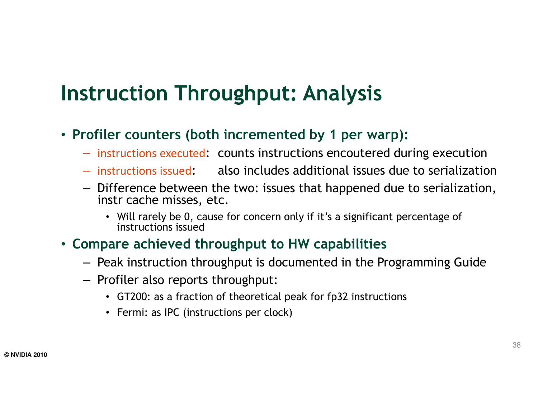#### Instruction Throughput: Analysis

- Profiler counters (both incremented by 1 per warp):
	- instructions executed: counts instructions encoutered during execution
	- instructions issued: also includes additional issues due to serialization
	- Difference between the two: issues that happened due to serialization, instr cache misses, etc.
		- Will rarely be 0, cause for concern only if it's a significant percentage of instructions issued
- Compare achieved throughput to HW capabilities
	- Peak instruction throughput is documented in the Programming Guide
	- Profiler also reports throughput:
		- GT200: as a fraction of theoretical peak for fp32 instructions
		- Fermi: as IPC (instructions per clock)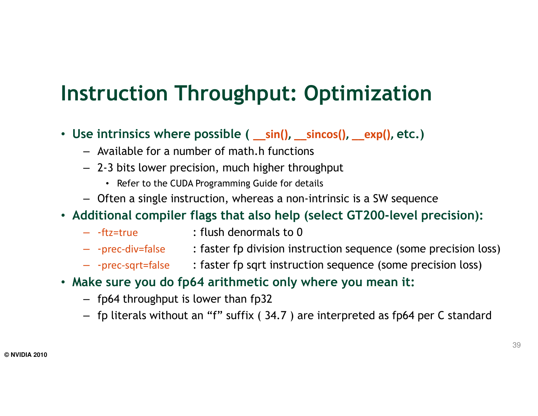### Instruction Throughput: Optimization

- Use intrinsics where possible ( \_\_sin(), \_\_sincos(), \_\_exp(), etc.)
	- Available for a number of math.h functions
	- 2-3 bits lower precision, much higher throughput
		- Refer to the CUDA Programming Guide for details
	- Often a single instruction, whereas a non-intrinsic is a SW sequence

#### $\bullet\,$  Additional compiler flags that also help (select GT200-level precision):

- – $:$  flush denormals to 0
- -prec-div=false : faster fp division instruction sequence (some precision loss)
- -prec-sqrt=false : faster fp sqrt instruction sequence (some precision loss)
- Make sure you do fp64 arithmetic only where you mean it:
	- fp64 throughput is lower than fp32
	- fp literals without an "f" suffix ( 34.7 ) are interpreted as fp64 per C standard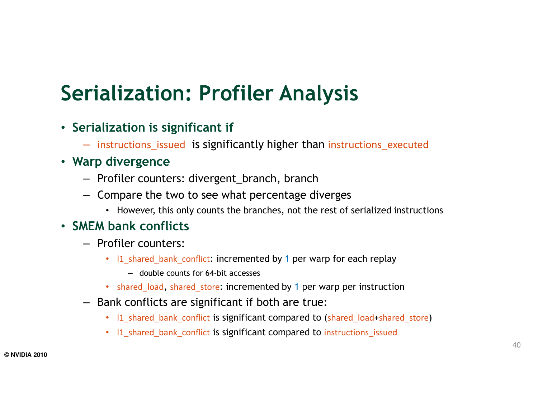### Serialization: Profiler Analysis

- Serialization is significant if
	- instructions\_issued is significantly higher than instructions\_executed
- Warp divergence
	- Profiler counters: divergent\_branch, branch
	- Compare the two to see what percentage diverges
		- However, this only counts the branches, not the rest of serialized instructions

#### • SMEM bank conflicts

- Profiler counters:
	- I1\_shared\_bank\_conflict: incremented by 1 per warp for each replay
		- double counts for 64-bit accesses
	- shared\_load, shared\_store: incremented by 1 per warp per instruction
- Bank conflicts are significant if both are true:
	- l1\_shared\_bank\_conflict is significant compared to (shared\_load+shared\_store)
	- l1\_shared\_bank\_conflict is significant compared to instructions\_issued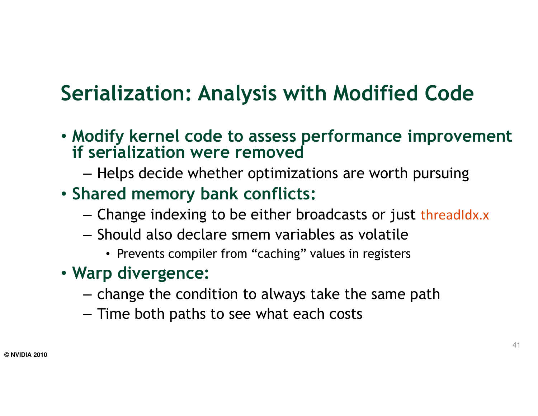## Serialization: Analysis with Modified Code

- Modify kernel code to assess performance improvement if serialization were removed
	- $-$  Helps decide whether optimizations are worth pursuing
- Shared memory bank conflicts:
	- Change indexing to be either broadcasts or just threadIdx.x
	- $-$  Should also declare smem variables as volatile
		- Prevents compiler from "caching" values in registers
- Warp divergence:
	- $-$  change the condition to always take the same path
	- $-$  Time both paths to see what each costs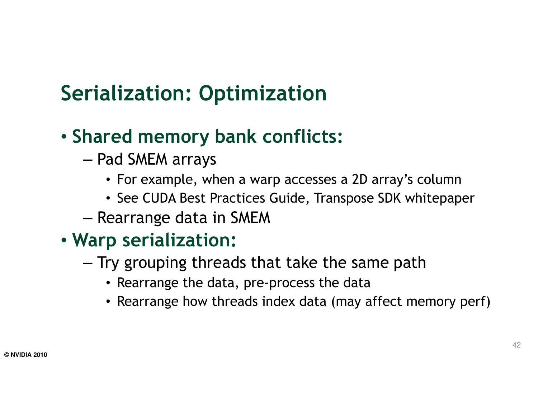## Serialization: Optimization

### • Shared memory bank conflicts:

- – $-$  Pad SMEM arrays
	- For example, when a warp accesses a 2D array's column
	- See CUDA Best Practices Guide, Transpose SDK whitepaper
- – $-$  Rearrange data in SMEM

#### • Warp serialization:

- – $-$  Try grouping threads that take the same path
	- Rearrange the data, pre-process the data
	- Rearrange how threads index data (may affect memory perf)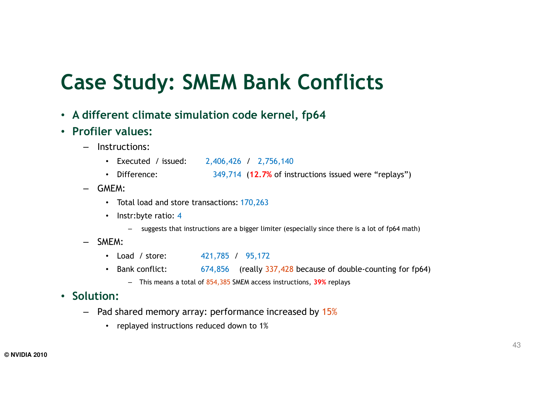#### Case Study: SMEM Bank Conflicts

- A different climate simulation code kernel, fp64
- Profiler values:
	- – Instructions:
		- Executed / issued: 2,406,426 / 2,756,140
		- Difference:: 349,714 (12.7% of instructions issued were "replays")
	- GMEM:
		- Total load and store transactions: 170,263
		- Instr:byte ratio: 4
			- suggests that instructions are a bigger limiter (especially since there is a lot of fp64 math)
	- SMEM:
		- Load / store: 421,785 / 95,172
		- Bank conflict:: 674,856 (really 337,428 because of double-counting for fp64)
			- This means a total of 854,385 SMEM access instructions, 39% replays

#### • Solution:

- Pad shared memory array: performance increased by 15%
	- replayed instructions reduced down to 1%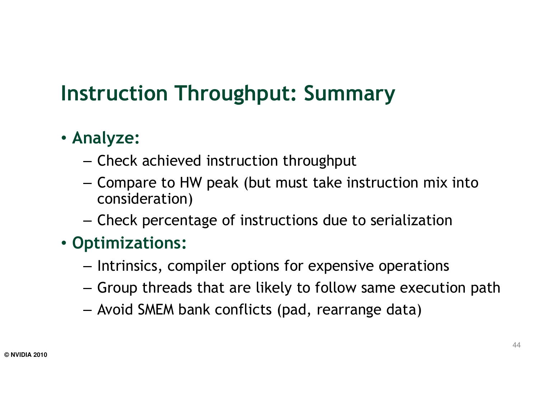### Instruction Throughput: Summary

#### • Analyze:

- – $-$  Check achieved instruction throughput
- Compare to HW peak (but must take instruction mix into consideration)
- $-$  Check percentage of instructions due to serialization

#### • Optimizations:

- $-$  Intrinsics, compiler options for expensive operations
- $-$  Group threads that are likely to follow same execution path
- Avoid SMEM bank conflicts (pad, rearrange data)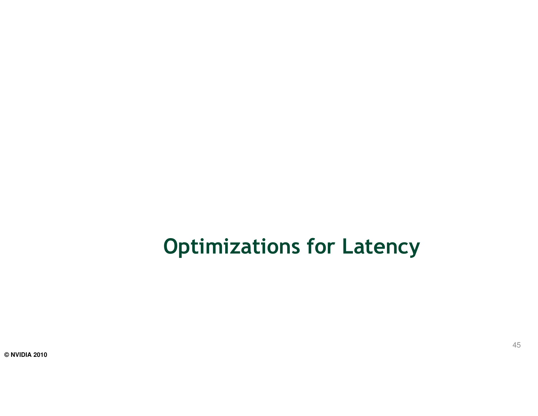### Optimizations for Latency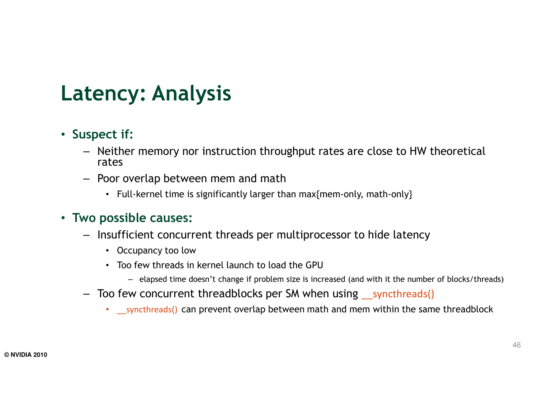### Latency: Analysis

#### • Suspect if:

- Neither memory nor instruction throughput rates are close to HW theoretical rates
- Poor overlap between mem and math
	- Full-kernel time is significantly larger than  $\max\{$ mem-only, math-only $\}$

#### • Two possible causes:

- Insufficient concurrent threads per multiprocessor to hide latency
	- Occupancy too low
	- Too few threads in kernel launch to load the GPU
		- elapsed time doesn't change if problem size is increased (and with it the number of blocks/threads)
- Too few concurrent threadblocks per SM when using \_\_syncthreads()
	- Louthreads() can prevent overlap between math and mem within the same threadblock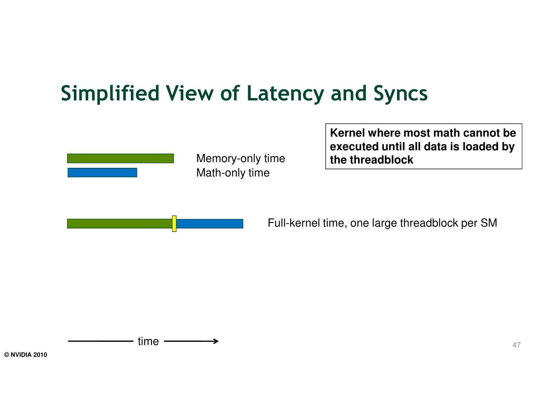### Simplified View of Latency and Syncs



Math-only timeMemory-only time **Kernel where most math cannot be executed until all data is loaded by the threadblock**

Full-kernel time, one large threadblock per SM

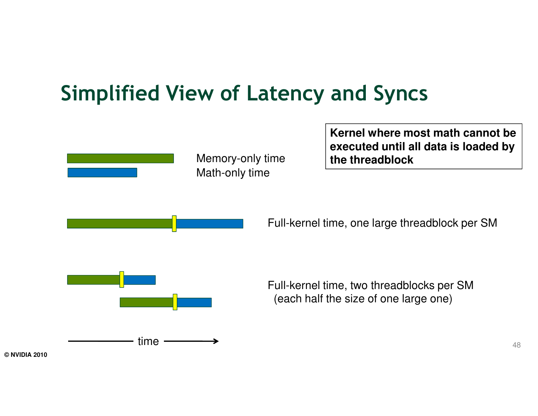### Simplified View of Latency and Syncs

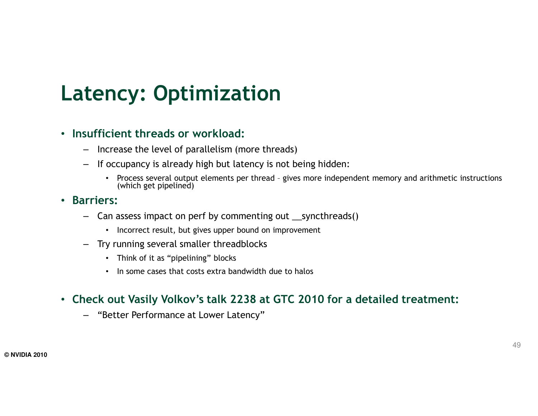### Latency: Optimization

#### • Insufficient threads or workload:

- Increase the level of parallelism (more threads)
- If occupancy is already high but latency is not being hidden:
	- Process several output elements per thread gives more independent memory and arithmetic instructions (which act ainclined). (which get pipelined)

#### • Barriers:

- Can assess impact on perf by commenting out \_\_syncthreads()
	- Incorrect result, but gives upper bound on improvement
- Try running several smaller threadblocks
	- Think of it as "pipelining" blocks
	- In some cases that costs extra bandwidth due to halos

#### • Check out Vasily Volkov's talk 2238 at GTC 2010 for a detailed treatment:

– "Better Performance at Lower Latency"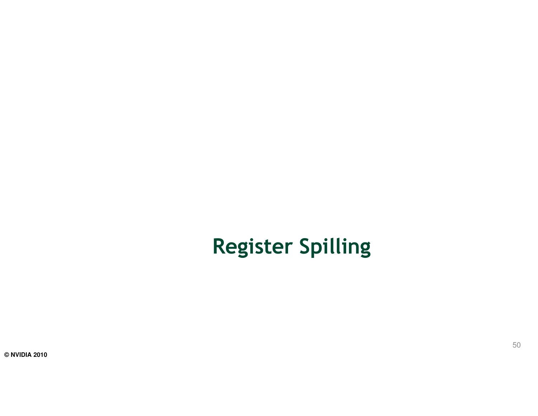## Register Spilling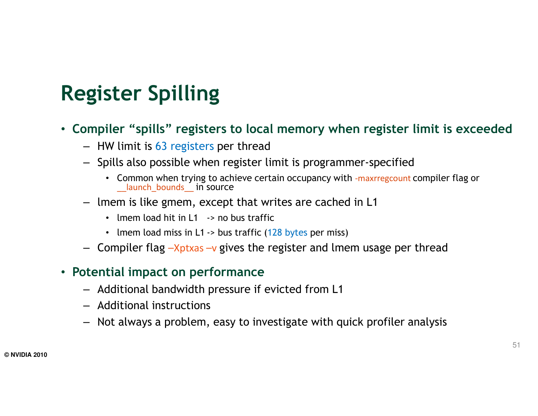## Register Spilling

- Compiler "spills" registers to local memory when register limit is exceeded
	- HW limit is 63 registers per thread
	- Spills also possible when register limit is programmer-specified
		- Common when trying to achieve certain occupancy with -maxrregcount compiler flag or Launch bounds in source
	- lmem is like gmem, except that writes are cached in L1
		-
		-
	-

- 
- 
- Imem load hit in L1 > no bus traffic<br>
Imem load miss in L1 •> bus traffic (128 bytes per miss)<br>
Compiler flag -Xptxas -v gives the register and Imem usage per thread<br>
Potential impact on performance<br>
Additional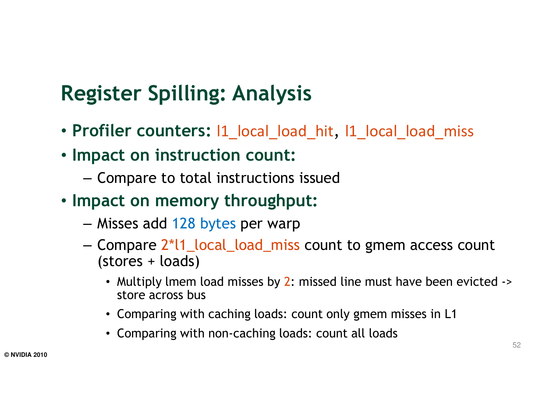## Register Spilling: Analysis

- Profiler counters: l1\_local\_load\_hit, l1\_local\_load\_miss
- Impact on instruction count:
	- $-$  Compare to total instructions issued
- Impact on memory throughput:
	- Misses add 128 bytes per warp
	- Compare 2\*l1\_local\_load\_miss count to gmem access count (stores + loads)
		- Multiply lmem load misses by 2: missed line must have been evicted -> store across bus
		- Comparing with caching loads: count only gmem misses in L1
		- Comparing with non-caching loads: count all loads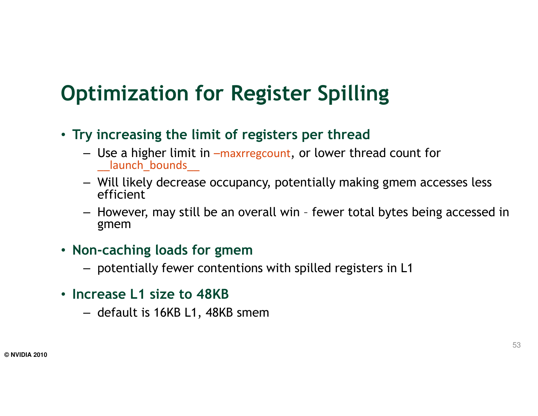### Optimization for Register Spilling

- Try increasing the limit of registers per thread
	- Use a higher limit in –maxrregcount, or lower thread count for \_\_launch\_bounds\_\_
	- Will likely decrease occupancy, potentially making gmem accesses less efficient
	- However, may still be an overall win fewer total bytes being accessed in gmem
- Non-caching loads for gmem
	- potentially fewer contentions with spilled registers in L1
- Increase L1 size to 48KB
	- default is 16KB L1, 48KB smem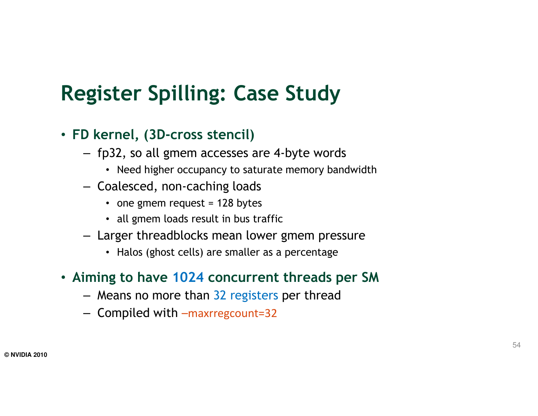### Register Spilling: Case Study

- FD kernel, (3D-cross stencil)
	- fp32, so all gmem accesses are 4-byte words
		- Need higher occupancy to saturate memory bandwidth
	- Coalesced, non-caching loads
		- one gmem request = 128 bytes
		- all gmem loads result in bus traffic
	- Larger threadblocks mean lower gmem pressure
		- Halos (ghost cells) are smaller as a percentage
- Aiming to have 1024 concurrent threads per SM
	- Means no more than 32 registers per thread
	- Compiled with –maxrregcount=32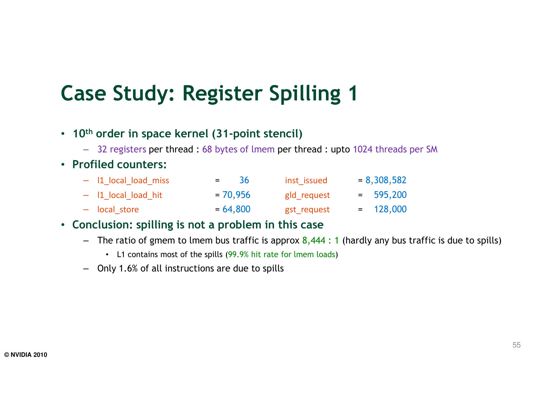### Case Study: Register Spilling 1

- $\,$  10 $^{\rm th}$  order in space kernel (31-point stencil)
	- 32 registers per thread : 68 bytes of lmem per thread : upto 1024 threads per SM

#### • Profiled counters:

| - I1 local load miss  | $=$ 36     | inst issued | $= 8,308,582$ |
|-----------------------|------------|-------------|---------------|
| $-$ 11 local load hit | $= 70,956$ | gld request | $= 595,200$   |
| - local store         | $= 64,800$ | gst request | $= 128,000$   |

#### • Conclusion: spilling is not a problem in this case

- The ratio of gmem to lmem bus traffic is approx 8,444 : 1 (hardly any bus traffic is due to spills)
	- L1 contains most of the spills (99.9% hit rate for lmem loads)
- Only 1.6% of all instructions are due to spills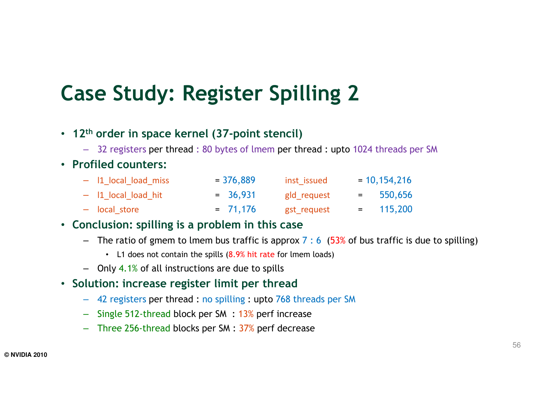### Case Study: Register Spilling 2

- <sup>12</sup>th order in space kernel (37-point stencil)
	- 32 registers per thread : 80 bytes of lmem per thread : upto 1024 threads per SM

#### • Profiled counters:

| - I1 local load miss | $= 376,889$ | inst issued | $= 10, 154, 216$ |
|----------------------|-------------|-------------|------------------|
| - I1 local load hit  | $= 36,931$  | gld request | $= 550,656$      |
| - local store        | $= 71,176$  | gst request | $= 115,200$      |

#### • Conclusion: spilling is a problem in this case

- $-$  The ratio of gmem to lmem bus traffic is approx 7 : 6  $\,$  (53% of bus traffic is due to spilling)
	- L1 does not contain the spills (8.9% hit rate for lmem loads)
- Only 4.1% of all instructions are due to spills
- Solution: increase register limit per thread
	- 42 registers per thread : no spilling : upto 768 threads per SM
	- Single 512-thread block per SM : 13% perf increase
	- Three 256-thread blocks per SM : 37% perf decrease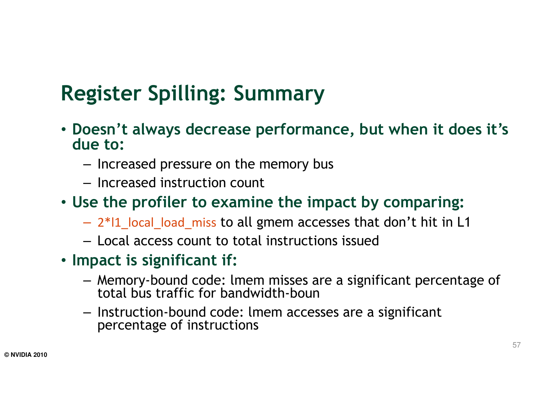## Register Spilling: Summary

- Doesn't always decrease performance, but when it does it's due to:
	- $-$  Increased pressure on the memory bus
	- $-$  Increased instruction count

#### • Use the profiler to examine the impact by comparing:

- 2\*l1\_local\_load\_miss to all gmem accesses that don't hit in L1
- – $-$  Local access count to total instructions issued
- Impact is significant if:
	- Memory-bound code: lmem misses are a significant percentage of the tasks handwidth houn total bus traffic for bandwidth-boun
	- Instruction-bound code: lmem accesses are a significant percentage of instructions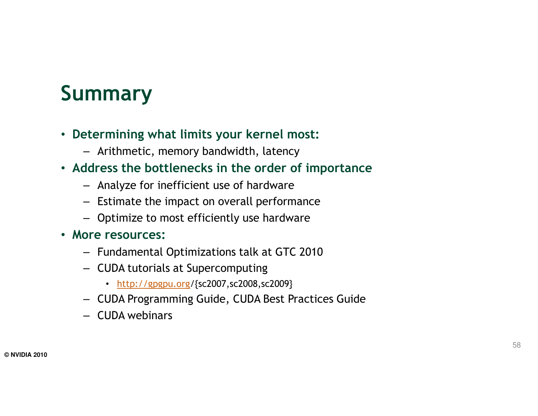## Summary

- Determining what limits your kernel most:
	- Arithmetic, memory bandwidth, latency
- Address the bottlenecks in the order of importance
	- Analyze for inefficient use of hardware
	- Estimate the impact on overall performance
	-
- -
	- -
- Optimize to most efficiently use hardware<br>
More resources:<br>
Fundamental Optimizations talk at GTC 2010<br>
CUDA tutorials at Supercomputing<br>
http://gpgpu.org/{sc2007,sc2008,sc2009}<br>
CUDA Programming Guide, CUDA Be
	-